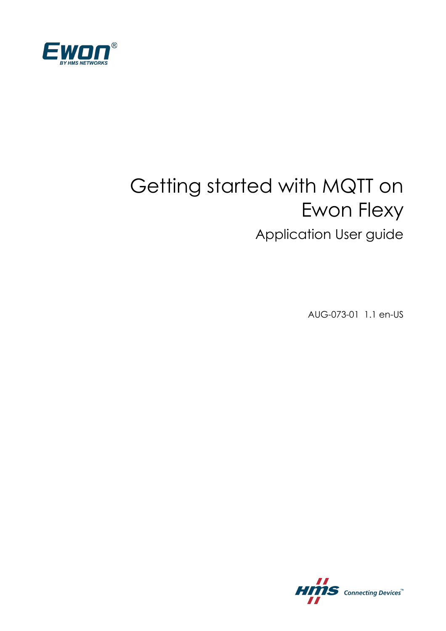

# Getting started with MQTT on Ewon Flexy Application User guide

AUG-073-01 1.1 en-US

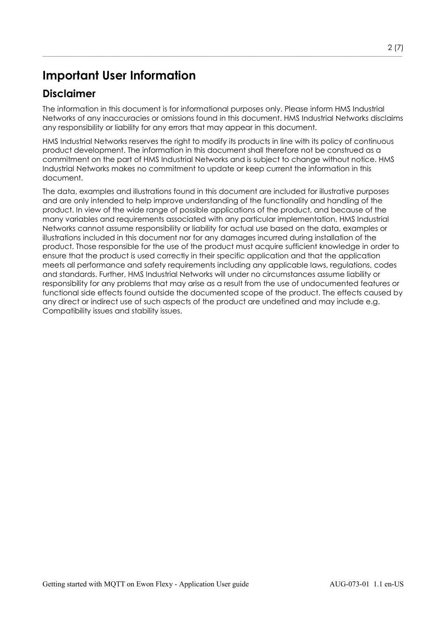### **Important User Information**

#### **Disclaimer**

The information in this document is for informational purposes only. Please inform HMS Industrial Networks of any inaccuracies or omissions found in this document. HMS Industrial Networks disclaims any responsibility or liability for any errors that may appear in this document.

 $\_$  , and the set of the set of the set of the set of the set of the set of the set of the set of the set of the set of the set of the set of the set of the set of the set of the set of the set of the set of the set of th

HMS Industrial Networks reserves the right to modify its products in line with its policy of continuous product development. The information in this document shall therefore not be construed as a commitment on the part of HMS Industrial Networks and is subject to change without notice. HMS Industrial Networks makes no commitment to update or keep current the information in this document.

The data, examples and illustrations found in this document are included for illustrative purposes and are only intended to help improve understanding of the functionality and handling of the product. In view of the wide range of possible applications of the product, and because of the many variables and requirements associated with any particular implementation, HMS Industrial Networks cannot assume responsibility or liability for actual use based on the data, examples or illustrations included in this document nor for any damages incurred during installation of the product. Those responsible for the use of the product must acquire sufficient knowledge in order to ensure that the product is used correctly in their specific application and that the application meets all performance and safety requirements including any applicable laws, regulations, codes and standards. Further, HMS Industrial Networks will under no circumstances assume liability or responsibility for any problems that may arise as a result from the use of undocumented features or functional side effects found outside the documented scope of the product. The effects caused by any direct or indirect use of such aspects of the product are undefined and may include e.g. Compatibility issues and stability issues.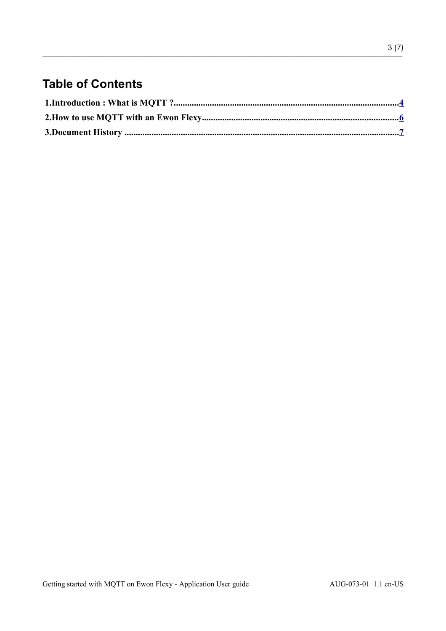# **Table of Contents**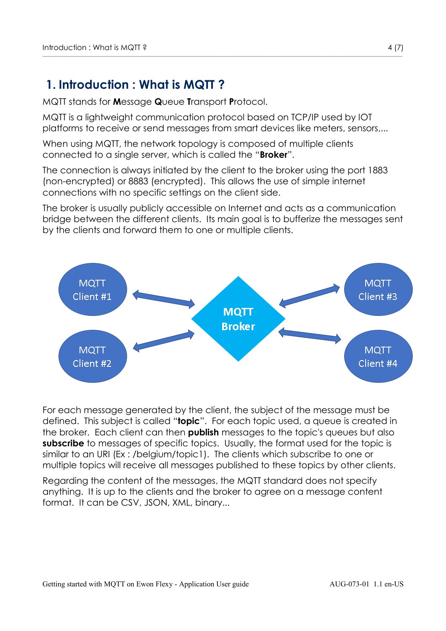#### <span id="page-3-0"></span> **1. Introduction : What is MQTT ?**

MQTT stands for **M**essage **Q**ueue **T**ransport **P**rotocol.

MQTT is a lightweight communication protocol based on TCP/IP used by IOT platforms to receive or send messages from smart devices like meters, sensors,...

When using MQTT, the network topology is composed of multiple clients connected to a single server, which is called the "**Broker**".

The connection is always initiated by the client to the broker using the port 1883 (non-encrypted) or 8883 (encrypted). This allows the use of simple internet connections with no specific settings on the client side.

The broker is usually publicly accessible on Internet and acts as a communication bridge between the different clients. Its main goal is to bufferize the messages sent by the clients and forward them to one or multiple clients.



For each message generated by the client, the subject of the message must be defined. This subject is called "**topic**". For each topic used, a queue is created in the broker. Each client can then **publish** messages to the topic's queues but also **subscribe** to messages of specific topics. Usually, the format used for the topic is similar to an URI (Ex : /belgium/topic1). The clients which subscribe to one or multiple topics will receive all messages published to these topics by other clients.

Regarding the content of the messages, the MQTT standard does not specify anything. It is up to the clients and the broker to agree on a message content format. It can be CSV, JSON, XML, binary...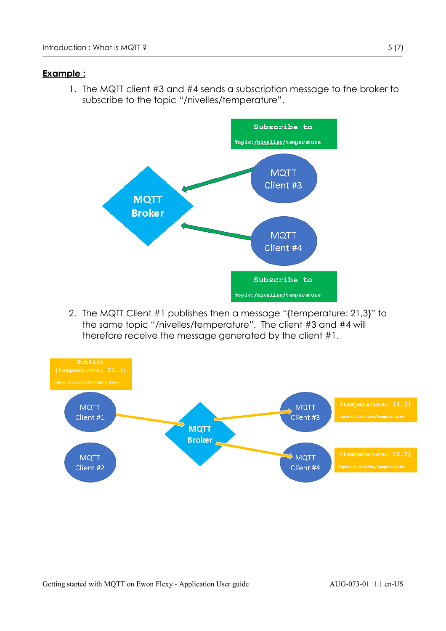#### **Example :**

1. The MQTT client #3 and #4 sends a subscription message to the broker to subscribe to the topic "/nivelles/temperature".



2. The MQTT Client #1 publishes then a message "{temperature: 21,3}" to the same topic "/nivelles/temperature". The client #3 and #4 will therefore receive the message generated by the client #1.

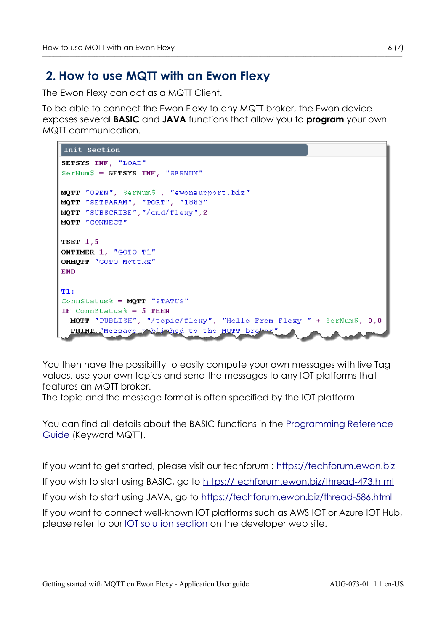## <span id="page-5-0"></span> **2. How to use MQTT with an Ewon Flexy**

The Ewon Flexy can act as a MQTT Client.

To be able to connect the Ewon Flexy to any MQTT broker, the Ewon device exposes several **BASIC** and **JAVA** functions that allow you to **program** your own MQTT communication.

 $\_$  , and the set of the set of the set of the set of the set of the set of the set of the set of the set of the set of the set of the set of the set of the set of the set of the set of the set of the set of the set of th

```
Init Section
SETSYS INF, "LOAD"
SerNum$ = GETSYS INF, "SERNUM"
MQTT "OPEN", SerNum$, "ewonsupport.biz"
MQTT "SETPARAM", "PORT", "1883"
MOTT "SUBSCRIBE", "/cmd/flexv", 2
MQTT "CONNECT"
TSET 1,5
ONTIMER 1, "GOTO T1"
ONMOTT "GOTO MGttRx"
END
T1+
ConnStatus% = MOTT "STATUS"
IF ConnStatus% = 5 THEN
  MQTT "PUBLISH", "/topic/flexy", "Hello From Flexy " + SerNum$, 0,0
  PRINT "Message p" bli hed to the MOTT broken
```
You then have the possibility to easily compute your own messages with live Tag values, use your own topics and send the messages to any IOT platforms that features an MQTT broker.

The topic and the message format is often specified by the IOT platform.

You can find all details about the BASIC functions in the [Programming Reference](https://resources.ewon.biz/en/doc/support/rg-0006-01-programming-reference-guide)  [Guide](https://resources.ewon.biz/en/doc/support/rg-0006-01-programming-reference-guide) (Keyword MQTT).

If you want to get started, please visit our techforum : [https://techforum.ewon.biz](https://techforum.ewon.biz/) If you wish to start using BASIC, go to<https://techforum.ewon.biz/thread-473.html> If you wish to start using JAVA, go to<https://techforum.ewon.biz/thread-586.html> If you want to connect well-known IOT platforms such as AWS IOT or Azure IOT Hub, please refer to our <u>IOT solution section</u> on the developer web site.